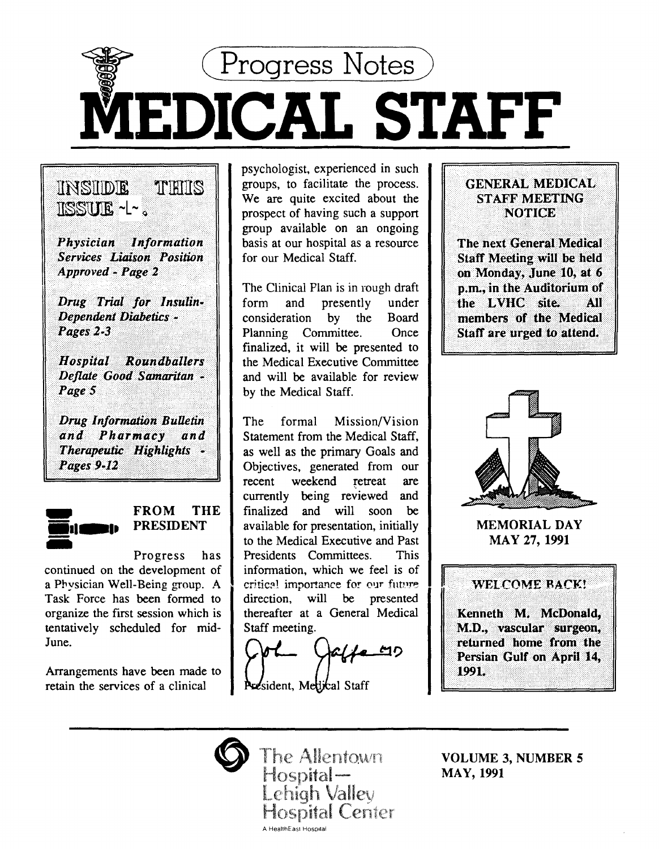

. \~~~;}c;a# 'l'!~~}l~~Ji:~ *Services··· .. ti/lifolt Position·* Approved - Page 2

THIIS

INSIIDE

1ISSULE ~L~ .

*Drug Trial for Insulin-Dependent Diabetics -*<br>Pages 2-3

Hospital Roundballers Deflate Good Samaritan -Page 5

**Drug Information Bulletin** and Pharmacy and<br>Therapeutic Highlights – **Pages** 9-12



## FROM THE PRESIDENT

Progress has continued on the development of a Physician Well-Being group. A Task Force has been formed to organize the first session which is tentatively scheduled for mid-June.

Arrangements have been made to retain the services of a clinical

psychologist, experienced in such groups, to facilitate the process . We are quite excited about the prospect of having such a support group available on an ongoing basis at our hospital as a resource for our Medical Staff.

The Clinical Plan is in rough draft form and presently under consideration by the Board Planning Committee. Once finalized, it will be presented to the Medical Executive Committee and will be available for review by the Medical Staff.

The formal Mission/Vision Statement from the Medical Staff, as well as the primary Goals and Objectives, generated from our recent weekend retreat are currently being reviewed and finalized and will soon be available for presentation, initially to the Medical Executive and Past Presidents Committees. This information, which we feel is of critical importance for our future. direction, will be presented thereafter at a General Medical Staff meeting.

President, Medical Staff

## GENERAL MEDICAL STARF MEETING NOTICE<sup>®</sup>

The next General Medical Staff Meeting will be held<br>on Monday, June 10, at 6<br>p.m., in the Auditorium of the LVHC site. AII members of the Medical Staff are urged to attend.



MEMORIAL DAY MAY 27, 1991





The Allentown Hospital-Lehigh Valley **Hospital Center** 

A HealthEast Hospital

VOLUME 3, NUMBER 5 MAY, 1991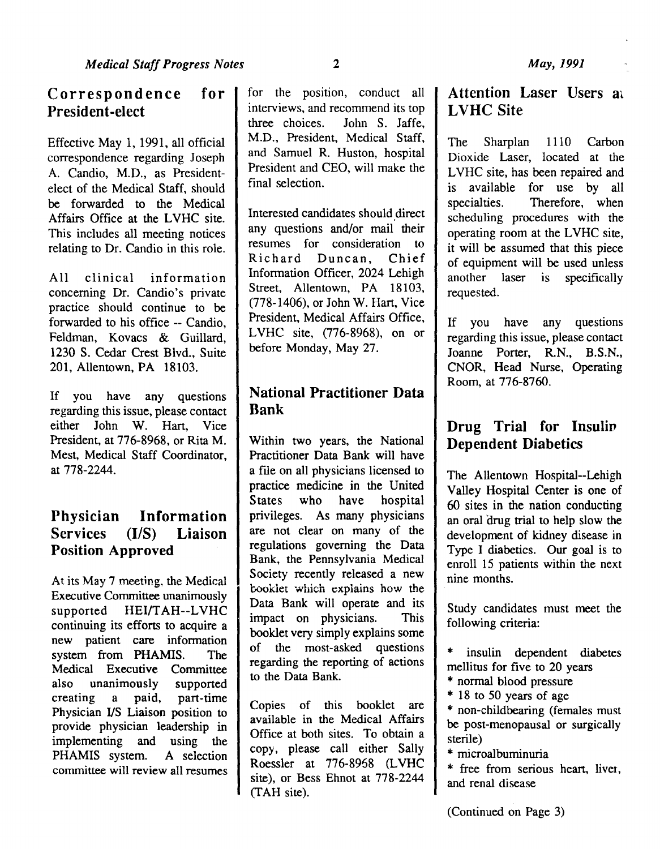## Correspondence for President-elect

Effective May 1, 1991, all official correspondence regarding Joseph A. Candio, M.D., as Presidentelect of the Medical Staff, should be forwarded to the Medical Affairs Office at the LVHC site. This includes all meeting notices relating to Dr. Candio in this role.

All clinical information concerning Dr. Candio's private practice should continue to be forwarded to his office -- Candio, Feldman, Kovacs & Guillard, 1230 S. Cedar Crest Blvd., Suite 201, Allentown, PA 18103.

If you have any questions regarding this issue, please contact either John W. Hart, Vice President, at 776-8968, or Rita M. Mest, Medical Staff Coordinator, at 778-2244.

## Physician Information Services (1/S) Liaison Position Approved

At its May 7 meeting, the Medical Executive Committee unanimously supported HEI/TAH--LVHC continuing its efforts to acquire a new patient care information system from PHAMIS. The Medical Executive Committee also unanimously supported creating a paid, part-time Physician 1/S Liaison position to provide physician leadership in implementing and using the PHAMIS system. A selection committee will review all resumes

for the position, conduct all **|** interviews, and recommend its top three choices. John S. Jaffe, M.D., President, Medical Staff, and Samuel R. Huston, hospital President and CEO, will make the final selection.

Interested candidates should direct any questions and/or mail their resumes for consideration to Richard Duncan, Chief Information Officer, 2024 Lehigh Street, Allentown, PA 18103, (778-1406), or John W. Hart, Vice President, Medical Affairs Office, LVHC site, (776-8968), on or before Monday, May 27.

## National Practitioner Data Bank

Within two years, the National Practitioner Data Bank will have a file on all physicians licensed to practice medicine in the United States who have hospital privileges. As many physicians are not clear on many of the regulations governing the Data Bank, the Pennsylvania Medical Society recently released a new booklet which explains how the Data Bank will operate and its impact on physicians. This booklet very simply explains some of the most-asked questions regarding the reporting of actions to the Data Bank.

Copies of this booklet are available in the Medical Affairs Office at both sites. To obtain a copy, please call either Sally Roessler at 776-8968 (LVHC site), or Bess Ehnot at 778-2244 (TAH site).

## Attention Laser Users at LVHC Site

The Sharplan 1110 Carbon Dioxide Laser, located at the LVHC site, has been repaired and is available for use by all specialties. Therefore, when scheduling procedures with the operating room at the LVHC site. it will be assumed that this piece of equipment will be used unless another laser is specifically requested.

If you have any questions regarding this issue, please contact Joanne Porter, R.N., B.S.N., CNOR, Head Nurse, Operating Room, at 776-8760.

## Drug Trial for Insulin Dependent Diabetics

The Allentown Hospital--Lehigh Valley Hospital Center is one of 60 sites in the nation conducting an oral drug trial to help slow the development of kidney disease in Type I diabetics. Our goal is to enroll 15 patients within the next nine months.

Study candidates must meet the following criteria:

insulin dependent diabetes mellitus for five to 20 years

\* normal blood pressure

\* 18 to 50 years of age

\* non-childbearing (females must be post-menopausal or surgically sterile)

\* microalbuminuria

\* free from serious heart, liver, and renal disease

(Continued on Page 3)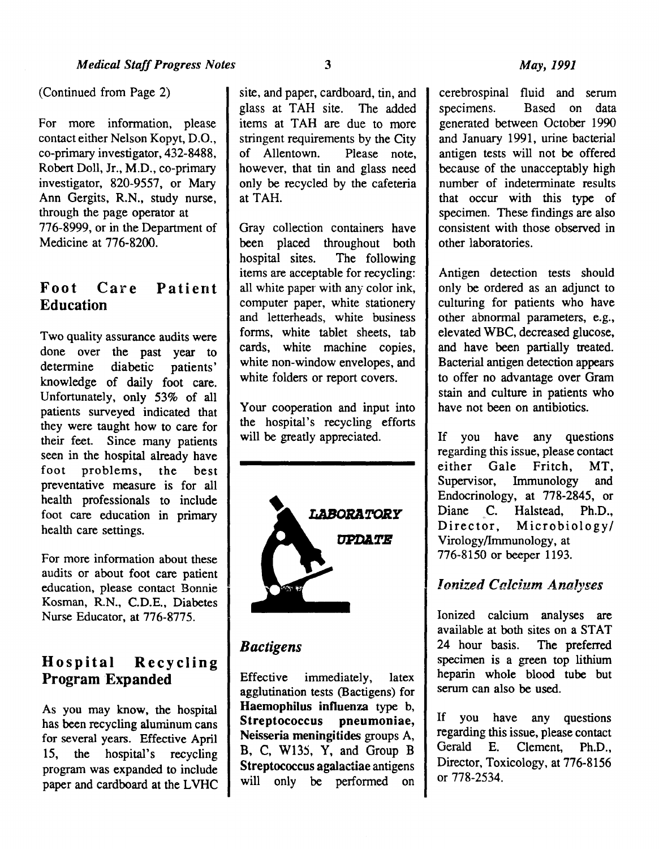#### (Continued from Page 2)

For more information, please contact either Nelson Kopyt, D.O., co-primary investigator, 432-8488, Robert Doll, Jr., M.D., co-primary investigator, 820-9557, or Mary Ann Gergits, R.N., study nurse, through the page operator at 776-8999, or in the Department of Medicine at 776-8200.

## Foot Care Patient Education

Two quality assurance audits were done over the past year to determine diabetic patients' knowledge of daily foot care. Unfortunately, only 53% of all patients surveyed indicated that they were taught how to care for their feet. Since many patients seen in the hospital already have foot problems, the best preventative measure is for all health professionals to include foot care education in primary health care settings.

For more information about these audits or about foot care patient education, please contact Bonnie Kosman, R.N., C.D.E., Diabetes Nurse Educator, at 776-8775.

## Hospital Recycling Program Expanded

As you may know, the hospital has been recycling aluminum cans for several years. Effective April 15, the hospital's recycling program was expanded to include paper and cardboard at the LVHC

site, and paper, cardboard, tin, and glass at TAH site. The added items at TAH are due to more stringent requirements by the City<br>of Allentown. Please note. of Allentown. however, that tin and glass need only be recycled by the cafeteria at TAH.

Gray collection containers have been placed throughout both hospital sites. The following items are acceptable for recycling: all white paper with any color ink, computer paper, white stationery and letterheads, white business forms, white tablet sheets, tab cards, white machine copies, white non-window envelopes, and white folders or report covers.

Your cooperation and input into the hospital's recycling efforts will be greatly appreciated.



## *Bactigens*

Effective immediately, latex agglutination tests (Bactigens) for Haemophilus influenza type b, Streptococcus pneumoniae, Neisseria meningitides groups A, B, C, W135,  $\overline{Y}$ , and Group B Streptococcus agalactiae antigens will only be performed on

cerebrospinal fluid and serum specimens. Based on data generated between October 1990 and January 1991, urine bacterial antigen tests will not be offered because of the unacceptably high number of indeterminate results that occur with this type of specimen. These findings are also consistent with those observed in other laboratories.

Antigen detection tests should only be ordered as an adjunct to culturing for patients who have other abnormal parameters, e.g., elevated WBC, decreased glucose, and have been partially treated. Bacterial antigen detection appears to offer no advantage over Gram stain and culture in patients who have not been on antibiotics.

If you have any questions regarding this issue, please contact either Gale Fritch, MT, Supervisor, Immunology and Endocrinology, at 778-2845, or Diane C. Halstead, Ph.D., Director, Microbiology/ Virology/Immunology, at 776-8150 or beeper 1193.

## *<i>Ionized Calcium Analyses*

Ionized calcium analyses are available at both sites on a STAT 24 hour basis. The preferred specimen is a green top lithium heparin whole blood tube but serum can also be used.

If you have any questions regarding this issue, please contact Gerald E. Clement, Ph.D., Director, Toxicology, at 776-8156 or 778-2534.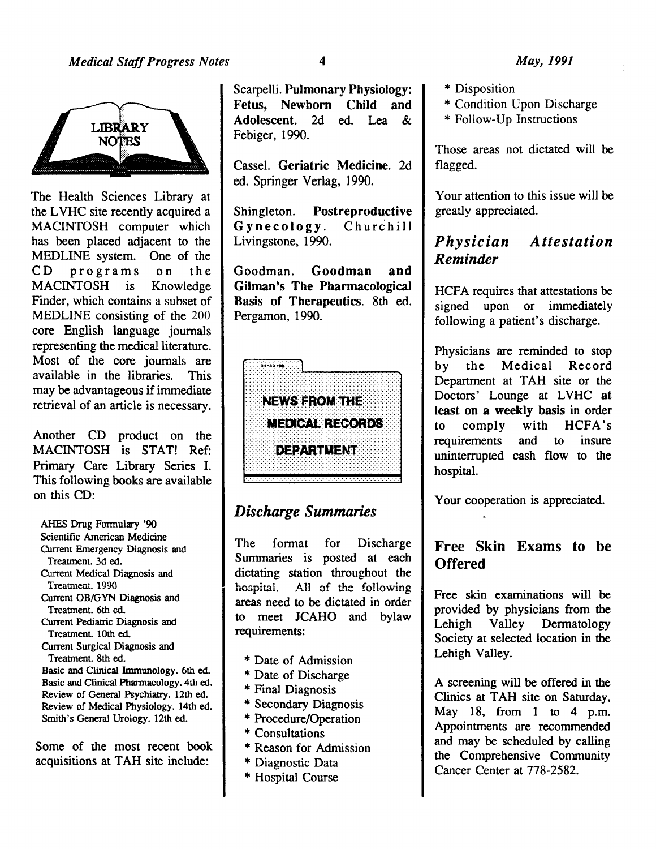

The Health Sciences Library at the LVHC site recently acquired a MACINTOSH computer which has been placed adjacent to the MEDLIN£ system. One of the CD programs on the MACINTOSH is Knowledge Finder, which contains a subset of MEDLINE consisting of the 200 core English language journals representing the medical literature. Most of the core journals are available in the libraries. This may be advantageous if immediate retrieval of an article is necessary.

Another CD product on the MACINTOSH is STAT! Ref: Primary Care Library Series I. This following books are available on this CD:

AHES Drug Fonnulary '90 Scientific American Medicine Current Emergency Diagnosis and Treatment. 3d ed. Current Medical Diagnosis and Treatment. 1990 Current OB/GYN Diagnosis and Treatment. 6th ed. Current Pediatric Diagnosis and Treatment. 1Oth ed. Current Surgical Diagnosis and Treatment. 8th ed. Basic and Clinical Immunology. 6th ed. Basic and Clinical Pharmacology. 4th ed. Review of General Psychiatry. 12th ed. Review of Medical Physiology. 14th ed. Smith's General Urology. 12th ed.

Some of the most recent book acquisitions at TAH site include:

Scarpelli. Pulmonary Physiology: Fetus, Newborn Child and Adolescent. 2d ed. Lea & Febiger, 1990.

Cassel. Geriatric Medicine. 2d ed. Springer Verlag, 1990.

Shingleton. Postreproductive Gynecology. Churchill Livingstone, 1990.

Goodman. Goodman and Gilman's The Pharmacological Basis of Therapeutics. 8th ed. Pergamon, 1990.



## *Discharge Summaries*

The format for Discharge Summaries is posted at each dictating station throughout the hospital. All of the following areas need to be dictated in order to meet JCAHO and bylaw requirements:

- \* Date of Admission
- \* Date of Discharge
- \* Final Diagnosis
- \* Secondary Diagnosis
- \* Procedure/Operation
- \* Consultations
- \* Reason for Admission
- \* Diagnostic Data
- \* Hospital Course
- \* Disposition
- \* Condition Upon Discharge
- \* Follow-Up Instructions

Those areas not dictated will be flagged.

Your attention to this issue will be greatly appreciated.

## *Physician Attestation Reminder*

HCFA requires that attestations be signed upon or immediately following a patient's discharge.

Physicians are reminded to stop by the Medical Record Department at TAH site or the Doctors' Lounge at LVHC at least on a weekly basis in order to comply with HCFA 's requirements and to insure uninterrupted cash flow to the hospital.

Your cooperation is appreciated.

## Free Skin Exams to be **Offered**

Free skin examinations will be provided by physicians from the Lehigh Valley Dermatology Society at selected location in the Lehigh Valley.

A screening will be offered in the Clinics at TAH site on Saturday, May 18, from 1 to 4 p.m. Appointments are recommended and may be scheduled by calling the Comprehensive Community Cancer Center at 778-2582.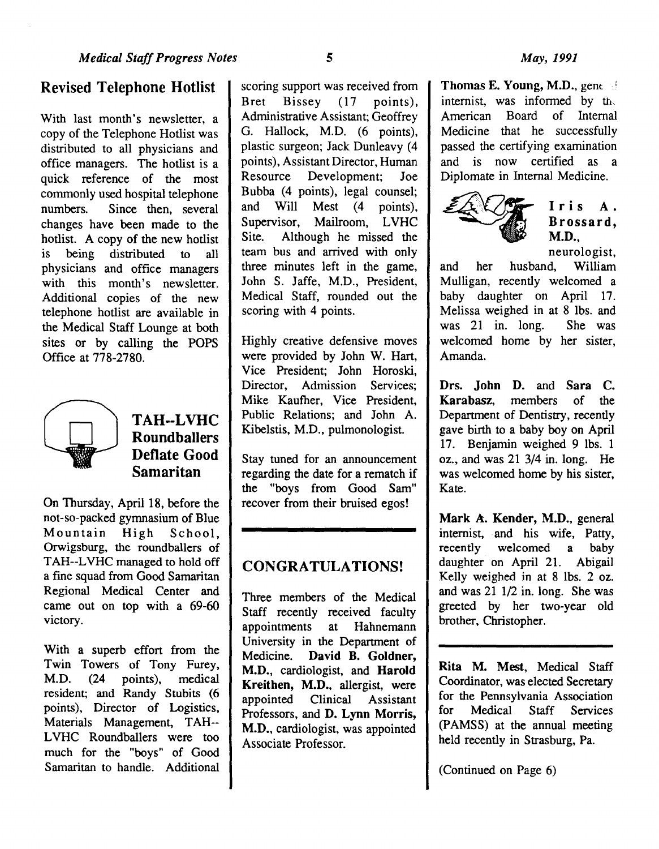With last month's newsletter, a copy of the Telephone Hotlist was distributed to all physicians and office managers. The hotlist is a quick reference of the most commonly used hospital telephone numbers. Since then, several changes have been made to the hotlist. A copy of the new hotlist is being distributed to all physicians and office managers with this month's newsletter. Additional copies of the new telephone hotlist are available in the Medical Staff Lounge at both sites or by calling the POPS Office at 778-2780.



## TAH--LVHC **Roundballers** Deflate Good Samaritan

On Thursday, April 18, before the not-so-packed gymnasium of Blue Mountain High School, Orwigsburg, the roundballers of TAH--LVHC managed to hold off a fine squad from Good Samaritan Regional Medical Center and came out on top with a 69-60 victory.

With a superb effort from the Twin Towers of Tony Furey, M.D. (24 points), medical resident; and Randy Stubits (6 points), Director of Logistics, Materials Management, TAH--LVHC Roundballers were too much for the "boys" of Good Samaritan to handle. Additional scoring support was received from Bret Bissey (17 points), Administrative Assistant; Geoffrey G. Hallock, M.D. (6 points), plastic surgeon; Jack Dunleavy (4 points), Assistant Director, Human Resource Development; Joe Bubba (4 points), legal counsel; and Will Mest (4 points), Supervisor, Mailroom, LVHC Site. Although he missed the team bus and arrived with only three minutes left in the game, John S. Jaffe, M.D., President, Medical Staff, rounded out the scoring with 4 points.

Highly creative defensive moves were provided by John W. Hart, Vice President; John Boroski, Director, Admission Services; Mike Kaufher, Vice President, Public Relations; and John A. Kibelstis, M.D., pulmonologist.

Stay tuned for an announcement regarding the date for a rematch if the "boys from Good Sam" recover from their bruised egos!

## CONGRATULATIONS!

Three members of the Medical Staff recently received faculty appointments at Hahnemann University in the Department of Medicine. David B. Goldner, M.D., cardiologist, and Harold Kreithen, M.D., allergist, were appointed Clinical Assistant Professors, and D. Lynn Morris, M.D., cardiologist, was appointed Associate Professor.

Thomas E. Young, M.D., gene  $\mathbb{S}$ internist, was informed by the American Board of Internal Medicine that he successfully passed the certifying examination and is now certified as a Diplomate in Internal Medicine.



neurologist,

and her husband, William Mulligan, recently welcomed a baby daughter on April 17. Melissa weighed in at 8 lbs. and was 21 in. long. She was welcomed home by her sister, Amanda.

Drs. John D. and Sara C. Karabasz, members of the Department of Dentistry, recently gave birth to a baby boy on April 17. Benjamin weighed 9 lbs. 1 oz., and was 21 3/4 in. long. He was welcomed home by his sister, Kate.

Mark A. Kender, M.D., general internist, and his wife, Patty, recently welcomed a baby daughter on April 21. Abigail Kelly weighed in at 8 lbs. 2 oz. and was 21 1/2 in. long. She was greeted by her two-year old brother, Christopher.

Rita M. Mest, Medical Staff Coordinator, was elected Secretary for the Pennsylvania Association for Medical Staff Services (PAMSS) at the annual meeting held recently in Strasburg, Pa.

(Continued on Page 6)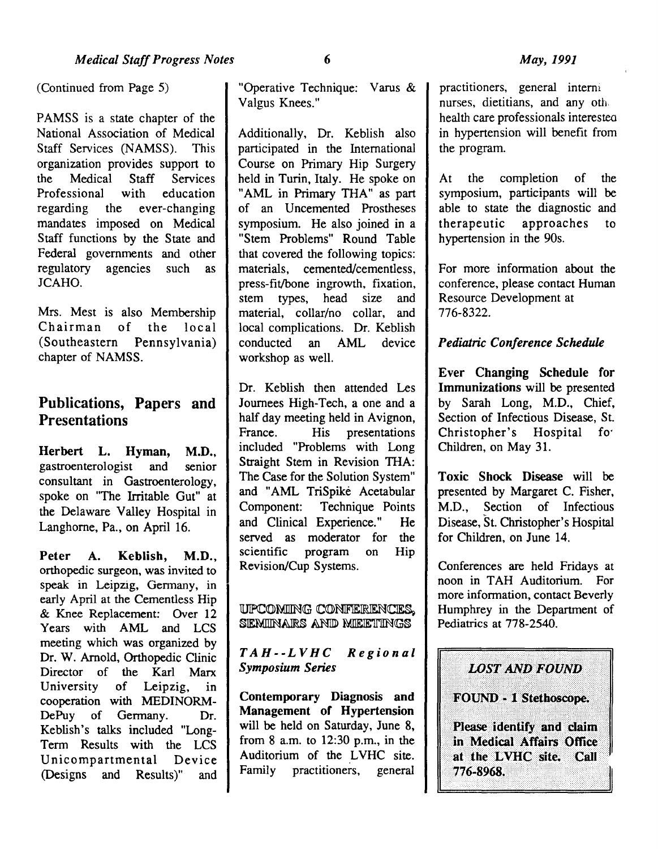(Continued from Page 5)

PAMSS is a state chapter of the National Association of Medical Staff Services (NAMSS). This organization provides support to<br>the Medical Staff Services the Medical Staff<br>Professional with Professional with education<br>regarding the ever-changing the ever-changing mandates imposed on Medical Staff functions by the State and Federal governments and other regulatory agencies such as JCAHO.

Mrs. Mest is also Membership Chairman of the local (Southeastern Pennsylvania) chapter of NAMSS.

## Publications, Papers and **Presentations**

Herbert L. Hyman, M.D., gastroenterologist and senior consultant in Gastroenterology, spoke on "The Irritable Gut" at the Delaware Valley Hospital in Langhorne, Pa., on April 16.

Peter A. Keblish, M.D., orthopedic surgeon, was invited to speak in Leipzig, Germany, in early April at the Cementless Hip & Knee Replacement: Over 12 Years with AML and LCS meeting which was organized by Dr. W. Arnold, Orthopedic Clinic Director of the Karl Marx University of Leipzig, in cooperation with MEDINORM-DePuy of Germany. Dr. Keblish's talks included "Long-Term Results with the LCS Unicompartmental Device (Designs and Results)" and

"Operative Technique: Varus & Valgus Knees."

Additionally, Dr. Keblish also participated in the International Course on Primary Hip Surgery held in Turin, Italy. He spoke on "AML in Primary THA" as part of an Uncemented Prostheses symposium. He also joined in a "Stem Problems" Round Table that covered the following topics: materials, cemented/cementless, press-fit/bone ingrowth, fixation,<br>stem types, head size and stem types, head size material, collar/no collar, and local complications. Dr. Keblish conducted an AML device workshop as well.

Dr. Keblish then attended Les Journees High-Tech, a one and a half day meeting held in Avignon, France. His presentations included "Problems with Long Straight Stem in Revision THA: The Case for the Solution System" and "AML TriSpike Acetabular Component: Technique Points and Clinical Experience." He served as moderator for the scientific program on Hip Revision/Cup Systems.

UPCOMING CONFIERENCES. SEMINARS AND MEETINGS

*TAH--LVHC Regional Symposium Series* 

Contemporary Diagnosis and Management of Hypertension will be held on Saturday, June 8, from 8 a.m. to 12:30 p.m., in the Auditorium of the LVHC site. Family practitioners, general

practitioners, general interni nurses, dietitians, and any oth health care professionals interesteo in hypertension will benefit from the program.

At the completion of the symposium, participants will be able to state the diagnostic and<br>therapeutic approaches to therapeutic approaches to hypertension in the 90s.

For more information about the conference, please contact Human Resource Development at 776-8322.

### *Pediatric Conference Schedule*

Ever Changing Schedule for Immunizations will be presented by Sarah Long, M.D., Chief, Section of Infectious Disease, St.<br>Christopher's Hospital for Christopher's Hospital fo· Children, on May 31.

Toxic Shock Disease will be presented by Margaret C. Fisher, M.D., Section of Infectious Disease, St. Christopher's Hospital for Children, on June 14.

Conferences are held Fridays at noon in TAH Auditorium. For more information, contact Beverly Humphrey in the Department of Pediatrics at 778-2540.

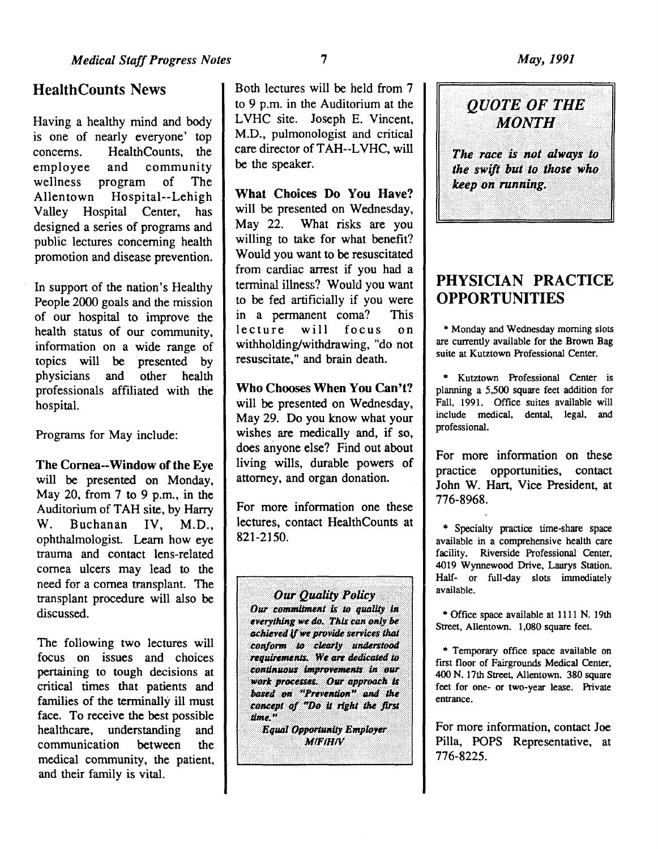## HealthCounts News

Having a healthy mind and body is one of nearly everyone' top concerns. HealthCounts, the<br>employee and community employee and community wellness program of The Allentown Hospital--Lehigh<br>Vallev Hospital Center, has Valley Hospital Center, designed a series of programs and public lectures concerning health promotion and disease prevention.

In support of the nation's Healthy People 2000 goals and the mission of our hospital to improve the health status of our community, information on a wide range of topics will be presented by physicians and other health professionals affiliated with the hospital.

Programs for May include:

The Cornea--Window of the Eye will be presented on Monday, May 20, from 7 to 9 p.m., in the Auditorium of TAH site, by Harry W. Buchanan IV, M.D., ophthalmologist. Learn how eye trauma and contact lens-related cornea ulcers may lead to the need for a cornea transplant. The transplant procedure will also be discussed.

The following two lectures will focus on issues and choices pertaining to tough decisions at critical times that patients and families of the terminally ill must face. To receive the best possible healthcare, understanding and communication between the medical community, the patient, and their family is vital.

Both lectures will be held from 7 to 9 p.m. in the Auditorium at the LVHC site. Joseph E. Vincent, M.D., pulmonologist and critical care director of TAH--LVHC, will be the speaker.

What Choices Do You Have? will be presented on Wednesday, May 22. What risks are you willing to take for what benefit? Would you want to be resuscitated from cardiac arrest if you had a terminal illness? Would you want to be fed artificially if you were in a permanent coma? This lecture will focus on withholding/withdrawing, "do not resuscitate," and brain death.

Who Chooses When You Can't? will be presented on Wednesday, May 29. Do you know what your wishes are medically and, if so, does anyone else? Find out about living wills, durable powers of attorney, and organ donation.

For more information one these lectures, contact HealthCounts at 821-2150.

**Our Quality Policy** Our commitment is to quality in everything we do. This can only be achieved if we provide services that conform to clearly understood requirements. We are dedicated to continuous improvements in our work processes. Our approach is based on "Prevention" and the concept of "Do it right the first time." **Equal Opportunity Employer** 

**MIFIHIV** 



## PHYSICIAN PRACTICE OPPORTUNITIES

\*Monday and Wednesday morning slots are currently available for the Brown Bag suite at Kutztown Professional Center.

\* Kutztown Professional Center is planning a 5,500 square feet addition for Fall, 1991. Office suites available will include medical, dental, legal, and professional.

For more information on these practice opportunities, contact John W. Hart, Vice President, at 776-8968.

\* Specialty practice time-share space available in a comprehensive health care facility. Riverside Professional Center, 4019 Wynnewood Drive, Laurys Station. Half- or full-day slots immediately available.

\* Office space available at 1111 N. 19th Street, Allentown. 1,080 square feet.

\* Temporary office space available on first floor of Fairgrounds Medical Center, 400 N. 17th Street, Allentown. 380 square feet for one- or two-year lease. Private entrance.

For more information, contact Joe Pilla, POPS Representative, at 776-8225.

7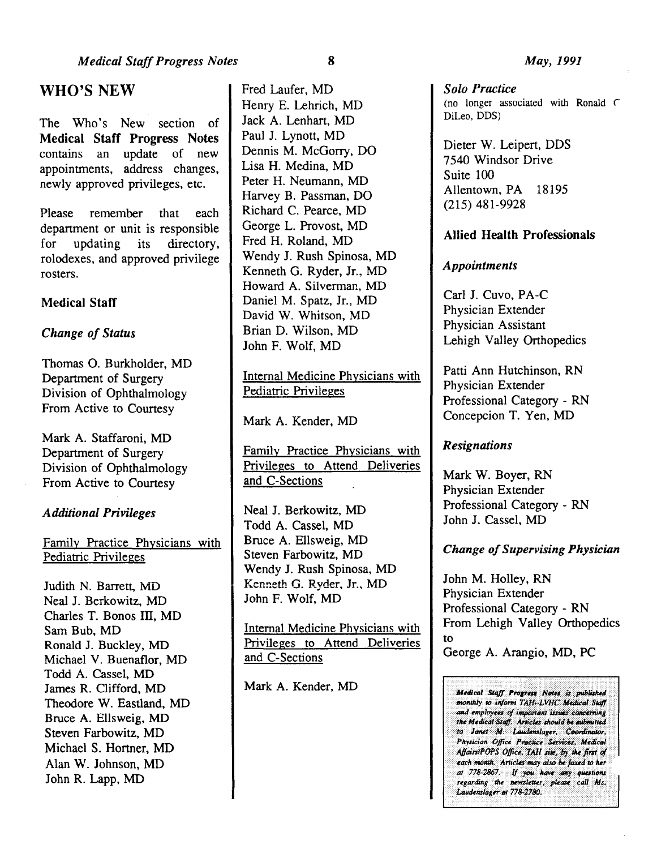## WHO'S NEW

The Who's New section of Medical Staff Progress Notes contains an update of new appointments, address changes, newly approved privileges, etc.

Please remember that each department or unit is responsible for updating its directory, rolodexes, and approved privilege rosters.

### Medical Staff

#### *Change of Status*

Thomas 0. Burkholder, MD Department of Surgery Division of Ophthalmology From Active to Courtesy

Mark A. Staffaroni, MD Department of Surgery Division of Ophthalmology From Active to Courtesy

#### *Additional Privileges*

Family Practice Physicians with Pediatric Privileges

Judith N. Barrett, MD Neal J. Berkowitz, MD Charles T. Bonos III, MD Sam Bub, MD Ronald J. Buckley, MD Michael V. Buenaflor, MD Todd A. Cassel, MD James R. Clifford, MD Theodore W. Eastland, MD Bruce A. Ellsweig, MD Steven Farbowitz, MD Michael S. Hartner, MD Alan W. Johnson, MD John R. Lapp, MD

Fred Laufer, MD Henry E. Lehrich, MD Jack A. Lenhart, MD Paul J. Lynott, MD Dennis M. McGarry, DO Lisa H. Medina, MD Peter H. Neumann, MD Harvey B. Passman, DO Richard C. Pearce, MD George L. Provost, MD Fred H. Roland, MD Wendy J. Rush Spinosa, MD Kenneth G. Ryder, Jr., MD Howard A. Silverman, MD Daniel M. Spatz, Jr., MD David W. Whitson, MD Brian D. Wilson, MD John F. Wolf, MD

Internal Medicine Physicians with Pediatric Privileges '

Mark A. Kender, MD

Family Practice Physicians with Privileges to Attend Deliveries and C-Sections

Neal J. Berkowitz, MD Todd A. Cassel, MD Bruce A. Ellsweig, MD Steven Farbowitz, MD Wendy J. Rush Spinosa, MD Kenneth G. Ryder, Jr., MD John F. Wolf, MD

Internal Medicine Physicians with Privileges to Attend Deliveries and C-Sections

Mark A. Kender, MD

*Solo Practice*  (no longer associated with Ronald  $\subset$ DiLeo, DDS)

Dieter W. Leipert, DDS 7540 Windsor Drive Suite 100 Allentown, PA 18195 (215) 481-9928

### Allied Health Professionals

#### *Appointments*

Carl J. Cuvo, PA-C Physician Extender Physician Assistant Lehigh Valley Orthopedics

Patti Ann Hutchinson, RN Physician Extender Professional Category - RN Concepcion T. Yen, MD

#### *Resignations*

Mark W. Boyer, RN Physician Extender Professional Category - RN John J. Cassel, MD

#### *Change of Supervising Physician*

John M. Holley, RN Physician Extender Professional Category - RN From Lehigh Valley Orthopedics to George A. Arangio, MD, PC

Medical Staff Progress Notes is published monthly to inform TAH-LVHC Medical Staff and employees of important issues concerning the Medical Staff. Articles should be submitted to Janet M. Laudenslager, Coordinator, Physician Office Practice Services, Medical Affairs/POPS Office, TAH site, by the first of each month. Articles may also be faxed to her at 778-2867. If you have any questions regarding the newsletter, please call Ms. Laudenslager at 778-2780.

8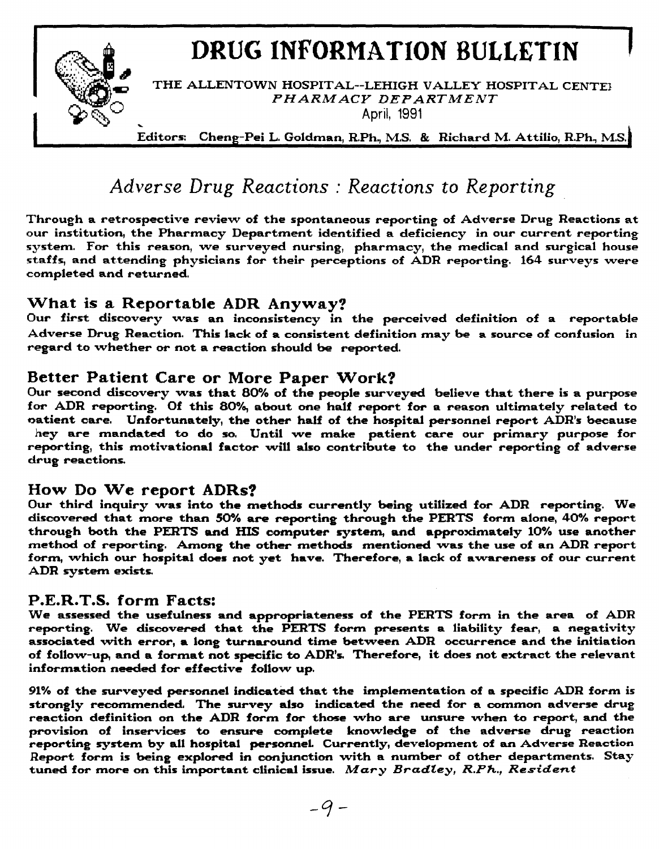# **DRUG INFORMATION BULLETIN**



THE ALLENTOWN HOSPITAL--LEHIGH VALLEY HOSPITAL CENTE1 *PHARMACY DEPARTMENT*  April, 1991

Editors: Cheng-Pei L. Goldman, R.Ph., M.S. & Richard M. Attilio, R.Ph., M.S.

## *Adverse Drug Reactions : Reactions to Reporting*

Through a retrospective revievv of the spontaneous reporting of Adverse Drug Reactions at our institution, the Pharmacy Department identified a deficiency in our current reporting system. For this reason, *vve* surveyed nursing, pharmacy, the medical and surgical house staffs, and attending physicians for their perceptions of ADR reporting. 164 surveys vvere completed and returned.

## What is a Reportable ADR Anyway?

Our first discovery was an inconsistency in the perceived definition of a reportable Adverse Drug Reaction. This lack of a consistent definition may *be* a source of confusion in regard to vvhether or not a reaction should *be* reported.

## Better Patient Care or More Paper Work?

Our second discovery vvas that 80% of the people surveyed believe that there is a purpose for ADR reporting. Of this 80%, about one half report for a reason ultimately related to oatient care. Unfortunately, the other half of the hospital personnel report ADR's because hey are mandated to do so. Until we make patient care our primary purpose for reporting, this motivational factor vviU also contribute to the under reporting of adverse drug reactions.

## How Do We report ADRs?

Our third inquiry vvas into the methods currently being utilized for ADR reporting. We discovered that more than 50% are reporting through the PERTS form alone, 40% report through both the PERTS and HIS computer system, and approximately 10% use another method of reporting. Among the other methods mentioned was the use of an ADR report form, which our hospital does not yet have. Therefore, a lack of awareness of our current ADR system exists.

## P.E.R.T.S. form Facts:

We assessed the usefulness and appropriateness of the PERTS form in the area of ADR reporting. *We* discovered that the PERTS form presents a liability fear, a negativity associated vvith *error,* a long turnaround time betvveen ADR occurrence and the initiation of fotlovv-up, and a format not specific to ADR's. Therefore, it does not extract the relevant information needed for effective follow up.

91% of the surveyed personnel indicated that the implementation of a specific ADR form is strongly recommended. The survey also indicated the need for a common adverse drug reaction definition on the ADR form for those vvho are unsure vvhen to report, and the provision of inservices to ensure complete knovvledge of the adverse drug reaction reporting system by all hospital personneL Currently, development of an Adverse Reaction Report form is being explored in conjunction with a number of other departments. Stay tuned for more on this important clinical issue. *Mary Bradley, R.Ph., Resident*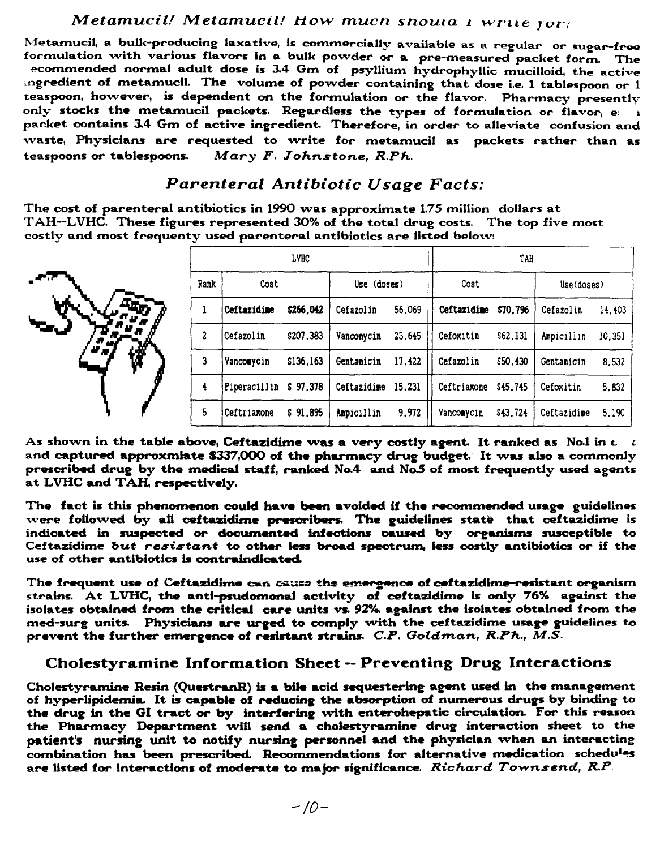### *Metamucil! Metamucil! How mucn snouta 1 write ror:*

Metamuci1, a bulk-producing laxative, is commercially available as a regular or sugar-free formulation vvith various flavors in a bulk povvder or a pre-measured packet form. The ~ecommended normal adult dose is 3.4 Gm of psyllium hydrophyllic mucilloid, the active mgredient of metamuciL The volume of povvder containing that dose i.e. 1 tablespoon or 1 teaspoon, hovvever, is dependent on the formulation *or* the flavor. Pharmacy presently only stocks the metamucil packets. Regardless the types of formulation or flavor, *e\* <sup>1</sup> packet contains 34 Gm of active ingredient. Therefore, in order to alleviate confusion and waste, Physicians are requested to write for metamucil as packets rather than as teaspoons or tablespoons. *Mary F. Johnstone, R.Ph.* 

## *Parenteral Antibiotic Usage Facts:*

The cost of parenteral antibiotics in 1990 vvas approximate 1.75 million dollars at TAH--LVHC. These figures represented 30% of the total drug costs. The top five most costly and most frequenty used parenteral antibiotics are listed belovv:

|              |      | LVHC                  |           |             |        |                      | TAH      |             |        |  |
|--------------|------|-----------------------|-----------|-------------|--------|----------------------|----------|-------------|--------|--|
| ar 77        | Rank | Cost                  |           | Use (doses) |        | Cost                 |          | Use(doses)  |        |  |
|              |      | <b>Ceftazidine</b>    | \$266,042 | Cefazolin   | 56,069 | <b>Ceftazidine</b>   | \$70,796 | Cefazolin   | 14,403 |  |
| $\mathbf{r}$ | 2    | Cefazolin             | \$207,383 | Vancomycin  | 23,645 | Cefoxitin            | \$62,131 | Ampicillin  | 10,351 |  |
| ₩            | 3    | Vancomycin            | \$136,163 | Gentamicin  | 17,422 | Cefazolin            | \$50,430 | Gentamicin  | 8,532  |  |
|              |      | Piperacillin \$97,378 |           | Ceftazidime | 15,231 | Ceftriaxone \$45,745 |          | Cefoxitin   | 5,832  |  |
|              | 5    | Ceftriaxone           | \$91,895  | Ampicillin  | 9,972  | Vancomycin           | \$43,724 | Ceftazidime | 5.190  |  |

As shown in the table above, Ceftazidime was a very costly agent. It ranked as No.1 in  $c-c$ and captured approxmiate \$337,000 of the pharmacy drug budget. It was also a commonly prescribed drug by the medical staff, ranked No.4 and No.5 of most frequently used agents at LVHC and TAH, respectively.

The fact is this phenomenon could have been avoided if the recommended usage guidelines were followed by all ceftazidime prescribers. The guidelines state that ceftazidime is indicated in suspected or docwnented infections caused by organisms suseeptible to Ceftazidime *but resistant* to other less broad spectrum, less costly antibiotics or if the use of other antibiotics is contraindicated.

The frequent use of Ceftazidime can cause the emergence of ceftazidime-resistant organism strains. At LVHC, the anti-psudomonal activity of ceftazidime is only 76% against the isolates obtained from the critical care units vs. 92%. against the isolates obtained from the med-surg units. Physicians are urged to comply with the ceftazidime usage guidelines to prevent the further emergence of resistant strains. *C.P. Goldman, R.Ph., M.S.* 

## Cholestyramine Information Sheet-- Preventing Drug Interactions

Cholestyramine Resin (QuestranR) is a bile acid sequestering agent used in the management of hyperlipidemia. It is capable of reducing the absorption of numerous drugs by binding to the drug in the Gl tract *or* by interfering vvlth enterohepatic circulation. For this reason the Pharmacy Department vvlU send a cholestyramine drug interaction sheet to the patient's nursing unit to notify nursing personnel and the physician when an interacting combination has been prescribed. Recommendations for alternative medication schedules are listed for interactions of moderate to major significance. *Richard Townsend, R.P.*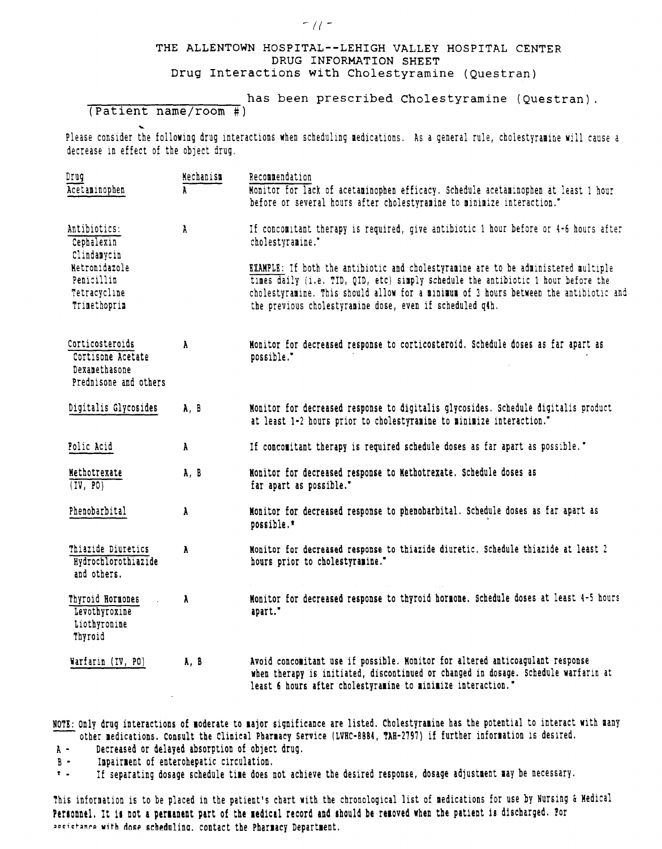#### THE ALLENTOWN HOSPITAL--LEHIGH VALLEY HOSPITAL CENTER DRUG INFORMATION SHEET Drug Interactions with Cholestyramine (Questran)

 ${ }^{\fbox{\scriptsize{}}\fbox{\scriptsize{}}\fbox{\scriptsize{}}\fbox{\scriptsize{}}\fbox{\scriptsize{}}\fbox{\scriptsize{}}\fbox{\scriptsize{}}\fbox{\scriptsize{}}\fbox{\scriptsize{}}\fbox{\scriptsize{}}\fbox{\scriptsize{}}\fbox{\scriptsize{}}\fbox{\scriptsize{}}\fbox{\scriptsize{}}\fbox{\scriptsize{}}\fbox{\scriptsize{}}\fbox{\scriptsize{}}\fbox{\scriptsize{}}\fbox{\scriptsize{}}\fbox{\scriptsize{}}\fbox{\scriptsize{}}\fbox{\scriptsize{}}\fbox{\scriptsize{}}\fbox{\scriptsize{}}\fbox{\scriptsize{}}\fbox{\scriptsize{}}\fbox{\scriptsize{}}\$ 

Please consider the following drug interactions when scheduling medications. As a general rule, cholestyramine will cause a decrease in effect of the object drug.

| Drug<br>Acetaminophen                                                          | Nechanism<br>À. | Recommendation<br>Monitor for lack of acetaminophen efficacy. Schedule acetaminophen at least 1 hour<br>before or several hours after cholestyramine to minimize interaction."                                                                                                                                               |  |  |  |  |
|--------------------------------------------------------------------------------|-----------------|------------------------------------------------------------------------------------------------------------------------------------------------------------------------------------------------------------------------------------------------------------------------------------------------------------------------------|--|--|--|--|
| Antibiotics:<br>$\lambda$<br>Cephalexin<br>Clindamycin                         |                 | If concomitant therapy is required, give antibiotic 1 hour before or 4-6 hours after<br>cholestyramine."                                                                                                                                                                                                                     |  |  |  |  |
| Netronidazole<br>Penicillin<br>Tetracycline<br>Trimethoprim                    |                 | EXAMPLE: If both the antibiotic and cholestyramine are to be administered multiple<br>times daily (i.e. TID, QID, etc) simply schedule the antibiotic 1 hour before the<br>cholestyramine. This should allow for a minimum of 3 hours between the antibiotic and<br>the previous cholestyramine dose, even if scheduled q4h. |  |  |  |  |
| Corticosteroids<br>Cortisone Acetate<br>Dexamethasone<br>Prednisone and others | A.              | Monitor for decreased response to corticosteroid. Schedule doses as far apart as<br>possible."                                                                                                                                                                                                                               |  |  |  |  |
| Digitalis Glycosides                                                           | A, B            | Monitor for decreased response to digitalis glycosides. Schedule digitalis product<br>at least 1-2 hours prior to cholestyramine to minimize interaction."                                                                                                                                                                   |  |  |  |  |
| Folic Acid                                                                     | A               | If concomitant therapy is required schedule doses as far apart as possible."                                                                                                                                                                                                                                                 |  |  |  |  |
| Nethotrexate<br>(TV, PO)                                                       | A, B            | Monitor for decreased response to Methotrexate. Schedule doses as<br>far apart as possible."                                                                                                                                                                                                                                 |  |  |  |  |
| Phenobarbital                                                                  | λ               | Monitor for decreased response to phenobarbital. Schedule doses as far apart as<br>possible.*                                                                                                                                                                                                                                |  |  |  |  |
| Thiazide Diuretics<br>Hydrochlorothiazide<br>and others.                       | A.              | Monitor for decreased response to thiazide diuretic. Schedule thiazide at least 2<br>hours prior to cholestyramine."                                                                                                                                                                                                         |  |  |  |  |
| Thyroid Hormones<br>Levothyroxine<br>Liothyronine<br>Thyroid                   | A               | Monitor for decreased response to thyroid hormone. Schedule doses at least 4-5 hours<br>apart."                                                                                                                                                                                                                              |  |  |  |  |
| Warfarin (IV, PO)                                                              | A, B            | Avoid concomitant use if possible. Monitor for altered anticoagulant response<br>when therapy is initiated, discontinued or changed in dosage. Schedule warfarin at<br>least 6 hours after cholestyramine to minimize interaction."                                                                                          |  |  |  |  |

NOTE: Only drug interactions of moderate to major significance are listed. Cholestyramine has the potential to interact with many other medications. Consult the Clinical Pharmacy Service (LVHC-8884, TAH-2797) if further information is desired.

- A Decreased or delayed absorption of object drug.
- $B -$  lmpairment of enterohepatic circulation.<br> $\dot{x} -$  If separating dosage schedule time does r

If separating dosage schedule time does not achieve the desired response, dosage adjustment may be necessary.

This information is to be placed in the patient's chart with the chronological list of medications for use by Nursing & Medical Personnel. It is not a permanent part of the medical record and should be removed when the patient is discharged. Por secistance with dose scheduling. contact the Pharmacy Department.